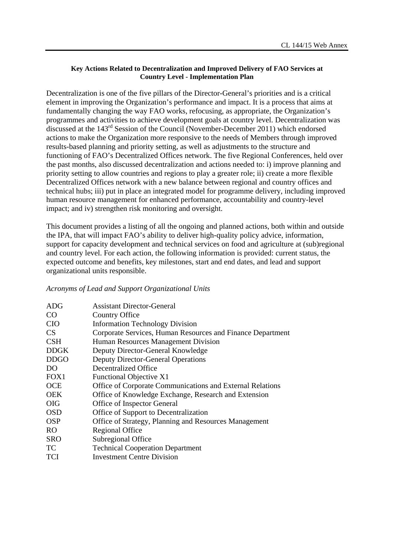## **Key Actions Related to Decentralization and Improved Delivery of FAO Services at Country Level - Implementation Plan**

Decentralization is one of the five pillars of the Director-General's priorities and is a critical element in improving the Organization's performance and impact. It is a process that aims at fundamentally changing the way FAO works, refocusing, as appropriate, the Organization's programmes and activities to achieve development goals at country level. Decentralization was discussed at the 143rd Session of the Council (November-December 2011) which endorsed actions to make the Organization more responsive to the needs of Members through improved results-based planning and priority setting, as well as adjustments to the structure and functioning of FAO's Decentralized Offices network. The five Regional Conferences, held over the past months, also discussed decentralization and actions needed to: i) improve planning and priority setting to allow countries and regions to play a greater role; ii) create a more flexible Decentralized Offices network with a new balance between regional and country offices and technical hubs; iii) put in place an integrated model for programme delivery, including improved human resource management for enhanced performance, accountability and country-level impact; and iv) strengthen risk monitoring and oversight.

This document provides a listing of all the ongoing and planned actions, both within and outside the IPA, that will impact FAO's ability to deliver high-quality policy advice, information, support for capacity development and technical services on food and agriculture at (sub)regional and country level. For each action, the following information is provided: current status, the expected outcome and benefits, key milestones, start and end dates, and lead and support organizational units responsible.

## *Acronyms of Lead and Support Organizational Units*

| <b>ADG</b>       | <b>Assistant Director-General</b>                          |
|------------------|------------------------------------------------------------|
| CO               | Country Office                                             |
| <b>CIO</b>       | <b>Information Technology Division</b>                     |
| <b>CS</b>        | Corporate Services, Human Resources and Finance Department |
| <b>CSH</b>       | Human Resources Management Division                        |
| <b>DDGK</b>      | Deputy Director-General Knowledge                          |
| <b>DDGO</b>      | <b>Deputy Director-General Operations</b>                  |
| DO               | Decentralized Office                                       |
| FOX <sub>1</sub> | Functional Objective X1                                    |
| <b>OCE</b>       | Office of Corporate Communications and External Relations  |
| <b>OEK</b>       | Office of Knowledge Exchange, Research and Extension       |
| <b>OIG</b>       | Office of Inspector General                                |
| <b>OSD</b>       | Office of Support to Decentralization                      |
| <b>OSP</b>       | Office of Strategy, Planning and Resources Management      |
| R <sub>O</sub>   | <b>Regional Office</b>                                     |
| <b>SRO</b>       | Subregional Office                                         |
| TC               | <b>Technical Cooperation Department</b>                    |
| <b>TCI</b>       | <b>Investment Centre Division</b>                          |
|                  |                                                            |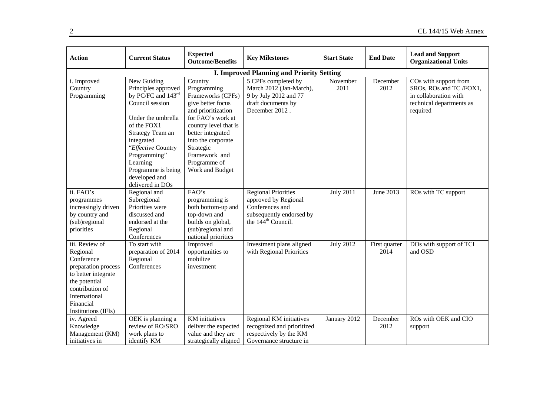| <b>Action</b>                                                                                                                                                                   | <b>Current Status</b>                                                                                                                                                                                                                                           | <b>Expected</b><br><b>Outcome/Benefits</b>                                                                                                                                                                                                       | <b>Key Milestones</b>                                                                                                               | <b>Start State</b> | <b>End Date</b>       | <b>Lead and Support</b><br><b>Organizational Units</b>                                                            |
|---------------------------------------------------------------------------------------------------------------------------------------------------------------------------------|-----------------------------------------------------------------------------------------------------------------------------------------------------------------------------------------------------------------------------------------------------------------|--------------------------------------------------------------------------------------------------------------------------------------------------------------------------------------------------------------------------------------------------|-------------------------------------------------------------------------------------------------------------------------------------|--------------------|-----------------------|-------------------------------------------------------------------------------------------------------------------|
|                                                                                                                                                                                 |                                                                                                                                                                                                                                                                 |                                                                                                                                                                                                                                                  | <b>I. Improved Planning and Priority Setting</b>                                                                                    |                    |                       |                                                                                                                   |
| i. Improved<br>Country<br>Programming                                                                                                                                           | New Guiding<br>Principles approved<br>by PC/FC and 143rd<br>Council session<br>Under the umbrella<br>of the FOX1<br>Strategy Team an<br>integrated<br>"Effective Country<br>Programming"<br>Learning<br>Programme is being<br>developed and<br>delivered in DOs | Country<br>Programming<br>Frameworks (CPFs)<br>give better focus<br>and prioritization<br>for FAO's work at<br>country level that is<br>better integrated<br>into the corporate<br>Strategic<br>Framework and<br>Programme of<br>Work and Budget | 5 CPFs completed by<br>March 2012 (Jan-March),<br>9 by July 2012 and 77<br>draft documents by<br>December 2012.                     | November<br>2011   | December<br>2012      | COs with support from<br>SROs, ROs and TC /FOX1,<br>in collaboration with<br>technical departments as<br>required |
| ii. FAO's<br>programmes<br>increasingly driven<br>by country and<br>(sub)regional<br>priorities                                                                                 | Regional and<br>Subregional<br>Priorities were<br>discussed and<br>endorsed at the<br>Regional<br>Conferences                                                                                                                                                   | FAO's<br>programming is<br>both bottom-up and<br>top-down and<br>builds on global,<br>(sub)regional and<br>national priorities                                                                                                                   | <b>Regional Priorities</b><br>approved by Regional<br>Conferences and<br>subsequently endorsed by<br>the 144 <sup>th</sup> Council. | <b>July 2011</b>   | June 2013             | ROs with TC support                                                                                               |
| iii. Review of<br>Regional<br>Conference<br>preparation process<br>to better integrate<br>the potential<br>contribution of<br>International<br>Financial<br>Institutions (IFIs) | To start with<br>preparation of 2014<br>Regional<br>Conferences                                                                                                                                                                                                 | Improved<br>opportunities to<br>mobilize<br>investment                                                                                                                                                                                           | Investment plans aligned<br>with Regional Priorities                                                                                | <b>July 2012</b>   | First quarter<br>2014 | DOs with support of TCI<br>and OSD                                                                                |
| iv. Agreed<br>Knowledge<br>Management (KM)<br>initiatives in                                                                                                                    | OEK is planning a<br>review of RO/SRO<br>work plans to<br>identify KM                                                                                                                                                                                           | <b>KM</b> initiatives<br>deliver the expected<br>value and they are<br>strategically aligned                                                                                                                                                     | Regional KM initiatives<br>recognized and prioritized<br>respectively by the KM<br>Governance structure in                          | January 2012       | December<br>2012      | ROs with OEK and CIO<br>support                                                                                   |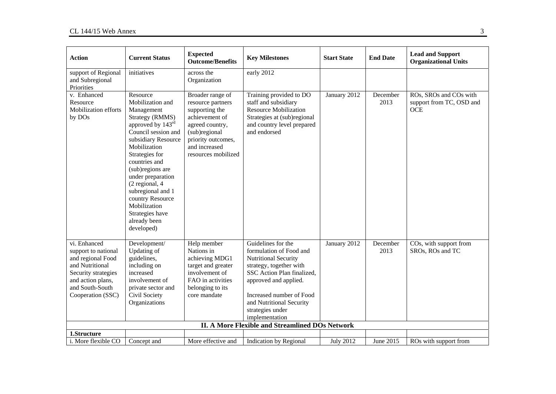| <b>Action</b>                                                                                                                                                   | <b>Current Status</b>                                                                                                                                                                                                                                                                                                                                    | <b>Expected</b><br><b>Outcome/Benefits</b>                                                                                                                                  | <b>Key Milestones</b>                                                                                                                                                                                                                                 | <b>Start State</b> | <b>End Date</b>  | <b>Lead and Support</b><br><b>Organizational Units</b>           |
|-----------------------------------------------------------------------------------------------------------------------------------------------------------------|----------------------------------------------------------------------------------------------------------------------------------------------------------------------------------------------------------------------------------------------------------------------------------------------------------------------------------------------------------|-----------------------------------------------------------------------------------------------------------------------------------------------------------------------------|-------------------------------------------------------------------------------------------------------------------------------------------------------------------------------------------------------------------------------------------------------|--------------------|------------------|------------------------------------------------------------------|
| support of Regional<br>and Subregional<br>Priorities                                                                                                            | initiatives                                                                                                                                                                                                                                                                                                                                              | across the<br>Organization                                                                                                                                                  | early 2012                                                                                                                                                                                                                                            |                    |                  |                                                                  |
| v. Enhanced<br>Resource<br>Mobilization efforts<br>by DOs                                                                                                       | Resource<br>Mobilization and<br>Management<br>Strategy (RMMS)<br>approved by 143rd<br>Council session and<br>subsidiary Resource<br>Mobilization<br>Strategies for<br>countries and<br>(sub)regions are<br>under preparation<br>(2 regional, 4<br>subregional and 1<br>country Resource<br>Mobilization<br>Strategies have<br>already been<br>developed) | Broader range of<br>resource partners<br>supporting the<br>achievement of<br>agreed country,<br>(sub)regional<br>priority outcomes,<br>and increased<br>resources mobilized | Training provided to DO<br>staff and subsidiary<br><b>Resource Mobilization</b><br>Strategies at (sub)regional<br>and country level prepared<br>and endorsed                                                                                          | January 2012       | December<br>2013 | ROs, SROs and COs with<br>support from TC, OSD and<br><b>OCE</b> |
| vi. Enhanced<br>support to national<br>and regional Food<br>and Nutritional<br>Security strategies<br>and action plans,<br>and South-South<br>Cooperation (SSC) | Development/<br>Updating of<br>guidelines,<br>including on<br>increased<br>involvement of<br>private sector and<br>Civil Society<br>Organizations                                                                                                                                                                                                        | Help member<br>Nations in<br>achieving MDG1<br>target and greater<br>involvement of<br>FAO in activities<br>belonging to its<br>core mandate                                | Guidelines for the<br>formulation of Food and<br>Nutritional Security<br>strategy, together with<br>SSC Action Plan finalized,<br>approved and applied.<br>Increased number of Food<br>and Nutritional Security<br>strategies under<br>implementation | January 2012       | December<br>2013 | COs, with support from<br>SROs, ROs and TC                       |
| 1.Structure                                                                                                                                                     |                                                                                                                                                                                                                                                                                                                                                          |                                                                                                                                                                             | II. A More Flexible and Streamlined DOs Network                                                                                                                                                                                                       |                    |                  |                                                                  |
| i. More flexible CO                                                                                                                                             | Concept and                                                                                                                                                                                                                                                                                                                                              | More effective and                                                                                                                                                          | <b>Indication by Regional</b>                                                                                                                                                                                                                         | <b>July 2012</b>   | June 2015        | ROs with support from                                            |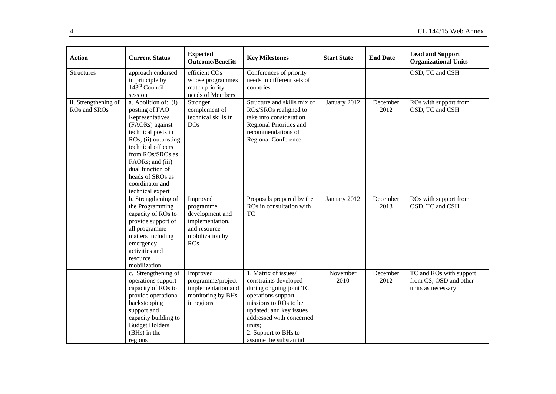| <b>Action</b>                        | <b>Current Status</b>                                                                                                                                                                                                                                                   | <b>Expected</b><br><b>Outcome/Benefits</b>                                                                   | <b>Key Milestones</b>                                                                                                                                                                                                                      | <b>Start State</b> | <b>End Date</b>  | <b>Lead and Support</b><br><b>Organizational Units</b>                  |
|--------------------------------------|-------------------------------------------------------------------------------------------------------------------------------------------------------------------------------------------------------------------------------------------------------------------------|--------------------------------------------------------------------------------------------------------------|--------------------------------------------------------------------------------------------------------------------------------------------------------------------------------------------------------------------------------------------|--------------------|------------------|-------------------------------------------------------------------------|
| <b>Structures</b>                    | approach endorsed<br>in principle by<br>$143^{\text{rd}}$ Council<br>session                                                                                                                                                                                            | efficient COs<br>whose programmes<br>match priority<br>needs of Members                                      | Conferences of priority<br>needs in different sets of<br>countries                                                                                                                                                                         |                    |                  | OSD, TC and CSH                                                         |
| ii. Strengthening of<br>ROs and SROs | a. Abolition of: (i)<br>posting of FAO<br>Representatives<br>(FAORs) against<br>technical posts in<br>ROs; (ii) outposting<br>technical officers<br>from ROs/SROs as<br>FAORs; and (iii)<br>dual function of<br>heads of SROs as<br>coordinator and<br>technical expert | Stronger<br>complement of<br>technical skills in<br><b>DOs</b>                                               | Structure and skills mix of<br>ROs/SROs realigned to<br>take into consideration<br>Regional Priorities and<br>recommendations of<br>Regional Conference                                                                                    | January 2012       | December<br>2012 | ROs with support from<br>OSD, TC and CSH                                |
|                                      | b. Strengthening of<br>the Programming<br>capacity of ROs to<br>provide support of<br>all programme<br>matters including<br>emergency<br>activities and<br>resource<br>mobilization                                                                                     | Improved<br>programme<br>development and<br>implementation,<br>and resource<br>mobilization by<br><b>ROs</b> | Proposals prepared by the<br>ROs in consultation with<br><b>TC</b>                                                                                                                                                                         | January 2012       | December<br>2013 | ROs with support from<br>OSD, TC and CSH                                |
|                                      | c. Strengthening of<br>operations support<br>capacity of ROs to<br>provide operational<br>backstopping<br>support and<br>capacity building to<br><b>Budget Holders</b><br>(BHs) in the<br>regions                                                                       | Improved<br>programme/project<br>implementation and<br>monitoring by BHs<br>in regions                       | 1. Matrix of issues/<br>constraints developed<br>during ongoing joint TC<br>operations support<br>missions to ROs to be<br>updated; and key issues<br>addressed with concerned<br>units;<br>2. Support to BHs to<br>assume the substantial | November<br>2010   | December<br>2012 | TC and ROs with support<br>from CS, OSD and other<br>units as necessary |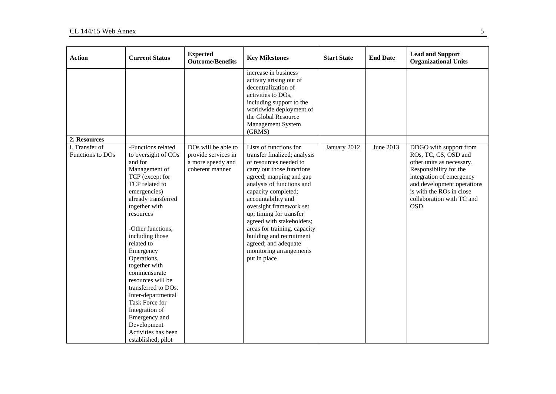| <b>Action</b>                      | <b>Current Status</b>                                                                                                                                                                                                                                                                                                                                                                                                                                                                 | <b>Expected</b><br><b>Outcome/Benefits</b>                                         | <b>Key Milestones</b>                                                                                                                                                                                                                                                                                                                                                                                                                | <b>Start State</b> | <b>End Date</b> | <b>Lead and Support</b><br><b>Organizational Units</b>                                                                                                                                                                                 |
|------------------------------------|---------------------------------------------------------------------------------------------------------------------------------------------------------------------------------------------------------------------------------------------------------------------------------------------------------------------------------------------------------------------------------------------------------------------------------------------------------------------------------------|------------------------------------------------------------------------------------|--------------------------------------------------------------------------------------------------------------------------------------------------------------------------------------------------------------------------------------------------------------------------------------------------------------------------------------------------------------------------------------------------------------------------------------|--------------------|-----------------|----------------------------------------------------------------------------------------------------------------------------------------------------------------------------------------------------------------------------------------|
|                                    |                                                                                                                                                                                                                                                                                                                                                                                                                                                                                       |                                                                                    | increase in business<br>activity arising out of<br>decentralization of<br>activities to DOs,<br>including support to the<br>worldwide deployment of<br>the Global Resource<br>Management System<br>(GRMS)                                                                                                                                                                                                                            |                    |                 |                                                                                                                                                                                                                                        |
| 2. Resources                       |                                                                                                                                                                                                                                                                                                                                                                                                                                                                                       |                                                                                    |                                                                                                                                                                                                                                                                                                                                                                                                                                      |                    |                 |                                                                                                                                                                                                                                        |
| i. Transfer of<br>Functions to DOs | -Functions related<br>to oversight of COs<br>and for<br>Management of<br>TCP (except for<br>TCP related to<br>emergencies)<br>already transferred<br>together with<br>resources<br>-Other functions,<br>including those<br>related to<br>Emergency<br>Operations,<br>together with<br>commensurate<br>resources will be<br>transferred to DOs.<br>Inter-departmental<br>Task Force for<br>Integration of<br>Emergency and<br>Development<br>Activities has been<br>established; pilot | DOs will be able to<br>provide services in<br>a more speedy and<br>coherent manner | Lists of functions for<br>transfer finalized; analysis<br>of resources needed to<br>carry out those functions<br>agreed; mapping and gap<br>analysis of functions and<br>capacity completed;<br>accountability and<br>oversight framework set<br>up; timing for transfer<br>agreed with stakeholders;<br>areas for training, capacity<br>building and recruitment<br>agreed; and adequate<br>monitoring arrangements<br>put in place | January 2012       | June 2013       | DDGO with support from<br>ROs, TC, CS, OSD and<br>other units as necessary.<br>Responsibility for the<br>integration of emergency<br>and development operations<br>is with the ROs in close<br>collaboration with TC and<br><b>OSD</b> |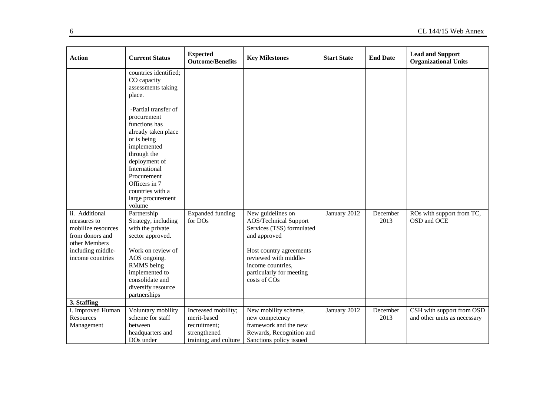| <b>Action</b>                                                                                                                    | <b>Current Status</b>                                                                                                                                                                                                                         | <b>Expected</b><br><b>Outcome/Benefits</b>                                                  | <b>Key Milestones</b>                                                                                                                                                                                               | <b>Start State</b> | <b>End Date</b>  | <b>Lead and Support</b><br><b>Organizational Units</b>    |
|----------------------------------------------------------------------------------------------------------------------------------|-----------------------------------------------------------------------------------------------------------------------------------------------------------------------------------------------------------------------------------------------|---------------------------------------------------------------------------------------------|---------------------------------------------------------------------------------------------------------------------------------------------------------------------------------------------------------------------|--------------------|------------------|-----------------------------------------------------------|
|                                                                                                                                  | countries identified;<br>CO capacity<br>assessments taking<br>place.                                                                                                                                                                          |                                                                                             |                                                                                                                                                                                                                     |                    |                  |                                                           |
|                                                                                                                                  | -Partial transfer of<br>procurement<br>functions has<br>already taken place<br>or is being<br>implemented<br>through the<br>deployment of<br>International<br>Procurement<br>Officers in 7<br>countries with a<br>large procurement<br>volume |                                                                                             |                                                                                                                                                                                                                     |                    |                  |                                                           |
| ii. Additional<br>measures to<br>mobilize resources<br>from donors and<br>other Members<br>including middle-<br>income countries | Partnership<br>Strategy, including<br>with the private<br>sector approved.<br>Work on review of<br>AOS ongoing.<br>RMMS being<br>implemented to<br>consolidate and<br>diversify resource<br>partnerships                                      | <b>Expanded funding</b><br>for DOs                                                          | New guidelines on<br><b>AOS/Technical Support</b><br>Services (TSS) formulated<br>and approved<br>Host country agreements<br>reviewed with middle-<br>income countries,<br>particularly for meeting<br>costs of COs | January 2012       | December<br>2013 | ROs with support from TC,<br>OSD and OCE                  |
| 3. Staffing                                                                                                                      |                                                                                                                                                                                                                                               |                                                                                             |                                                                                                                                                                                                                     |                    |                  |                                                           |
| i. Improved Human<br>Resources<br>Management                                                                                     | Voluntary mobility<br>scheme for staff<br>between<br>headquarters and<br>DO <sub>s</sub> under                                                                                                                                                | Increased mobility;<br>merit-based<br>recruitment;<br>strengthened<br>training; and culture | New mobility scheme,<br>new competency<br>framework and the new<br>Rewards, Recognition and<br>Sanctions policy issued                                                                                              | January 2012       | December<br>2013 | CSH with support from OSD<br>and other units as necessary |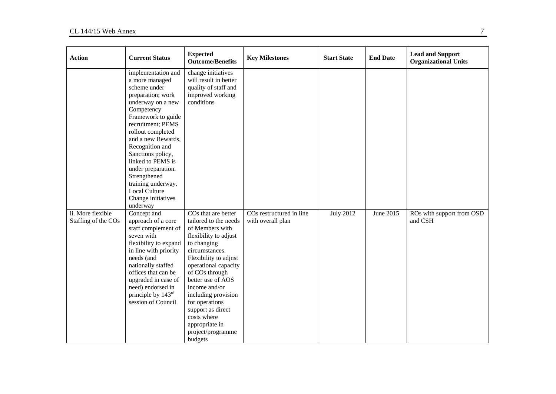| <b>Action</b>                            | <b>Current Status</b>                                                                                                                                                                                                                                                                                                                                                                 | <b>Expected</b><br><b>Outcome/Benefits</b>                                                                                                                                                                                                                                                                                                                                    | <b>Key Milestones</b>                                     | <b>Start State</b> | <b>End Date</b> | <b>Lead and Support</b><br><b>Organizational Units</b> |
|------------------------------------------|---------------------------------------------------------------------------------------------------------------------------------------------------------------------------------------------------------------------------------------------------------------------------------------------------------------------------------------------------------------------------------------|-------------------------------------------------------------------------------------------------------------------------------------------------------------------------------------------------------------------------------------------------------------------------------------------------------------------------------------------------------------------------------|-----------------------------------------------------------|--------------------|-----------------|--------------------------------------------------------|
|                                          | implementation and<br>a more managed<br>scheme under<br>preparation; work<br>underway on a new<br>Competency<br>Framework to guide<br>recruitment; PEMS<br>rollout completed<br>and a new Rewards,<br>Recognition and<br>Sanctions policy,<br>linked to PEMS is<br>under preparation.<br>Strengthened<br>training underway.<br><b>Local Culture</b><br>Change initiatives<br>underway | change initiatives<br>will result in better<br>quality of staff and<br>improved working<br>conditions                                                                                                                                                                                                                                                                         |                                                           |                    |                 |                                                        |
| ii. More flexible<br>Staffing of the COs | Concept and<br>approach of a core<br>staff complement of<br>seven with<br>flexibility to expand<br>in line with priority<br>needs (and<br>nationally staffed<br>offices that can be<br>upgraded in case of<br>need) endorsed in<br>principle by 143 <sup>rd</sup><br>session of Council                                                                                               | CO <sub>s</sub> that are better<br>tailored to the needs<br>of Members with<br>flexibility to adjust<br>to changing<br>circumstances.<br>Flexibility to adjust<br>operational capacity<br>of COs through<br>better use of AOS<br>income and/or<br>including provision<br>for operations<br>support as direct<br>costs where<br>appropriate in<br>project/programme<br>budgets | CO <sub>s</sub> restructured in line<br>with overall plan | <b>July 2012</b>   | June 2015       | ROs with support from OSD<br>and CSH                   |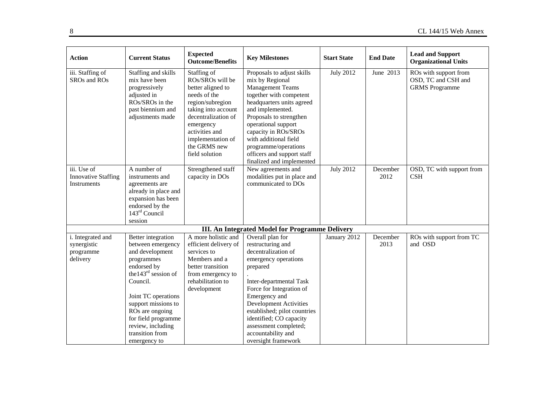| <b>Action</b>                                             | <b>Current Status</b>                                                                                                                                                                                                                                                         | <b>Expected</b><br><b>Outcome/Benefits</b>                                                                                                                                                                                   | <b>Key Milestones</b>                                                                                                                                                                                                                                                                                                                      | <b>Start State</b> | <b>End Date</b>  | <b>Lead and Support</b><br><b>Organizational Units</b>                |
|-----------------------------------------------------------|-------------------------------------------------------------------------------------------------------------------------------------------------------------------------------------------------------------------------------------------------------------------------------|------------------------------------------------------------------------------------------------------------------------------------------------------------------------------------------------------------------------------|--------------------------------------------------------------------------------------------------------------------------------------------------------------------------------------------------------------------------------------------------------------------------------------------------------------------------------------------|--------------------|------------------|-----------------------------------------------------------------------|
| iii. Staffing of<br>SROs and ROs                          | Staffing and skills<br>mix have been<br>progressively<br>adjusted in<br>ROs/SROs in the<br>past biennium and<br>adjustments made                                                                                                                                              | Staffing of<br>ROs/SROs will be<br>better aligned to<br>needs of the<br>region/subregion<br>taking into account<br>decentralization of<br>emergency<br>activities and<br>implementation of<br>the GRMS new<br>field solution | Proposals to adjust skills<br>mix by Regional<br><b>Management Teams</b><br>together with competent<br>headquarters units agreed<br>and implemented.<br>Proposals to strengthen<br>operational support<br>capacity in ROs/SROs<br>with additional field<br>programme/operations<br>officers and support staff<br>finalized and implemented | <b>July 2012</b>   | June 2013        | ROs with support from<br>OSD, TC and CSH and<br><b>GRMS</b> Programme |
| iii. Use of<br><b>Innovative Staffing</b><br>Instruments  | A number of<br>instruments and<br>agreements are<br>already in place and<br>expansion has been<br>endorsed by the<br>$143rd$ Council<br>session                                                                                                                               | Strengthened staff<br>capacity in DOs                                                                                                                                                                                        | New agreements and<br>modalities put in place and<br>communicated to DOs                                                                                                                                                                                                                                                                   | <b>July 2012</b>   | December<br>2012 | OSD, TC with support from<br><b>CSH</b>                               |
|                                                           |                                                                                                                                                                                                                                                                               |                                                                                                                                                                                                                              | III. An Integrated Model for Programme Delivery                                                                                                                                                                                                                                                                                            |                    |                  |                                                                       |
| i. Integrated and<br>synergistic<br>programme<br>delivery | Better integration<br>between emergency<br>and development<br>programmes<br>endorsed by<br>the $143rd$ session of<br>Council.<br>Joint TC operations<br>support missions to<br>ROs are ongoing<br>for field programme<br>review, including<br>transition from<br>emergency to | A more holistic and<br>efficient delivery of<br>services to<br>Members and a<br>better transition<br>from emergency to<br>rehabilitation to<br>development                                                                   | Overall plan for<br>restructuring and<br>decentralization of<br>emergency operations<br>prepared<br>Inter-departmental Task<br>Force for Integration of<br>Emergency and<br><b>Development Activities</b><br>established; pilot countries<br>identified; CO capacity<br>assessment completed;<br>accountability and<br>oversight framework | January 2012       | December<br>2013 | ROs with support from TC<br>and OSD                                   |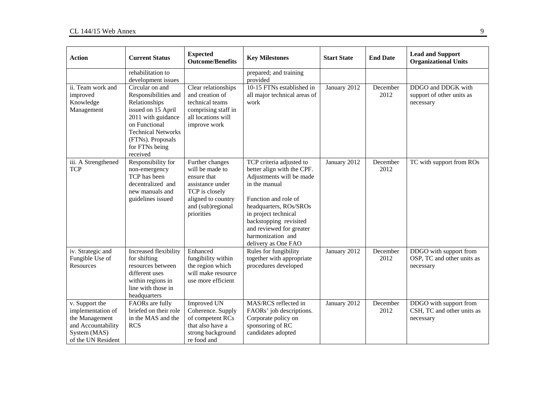| <b>Action</b>                                                                                                     | <b>Current Status</b>                                                                                                                                                                                 | <b>Expected</b><br><b>Outcome/Benefits</b>                                                                                                       | <b>Key Milestones</b>                                                                                                                                                                                                                                                           | <b>Start State</b> | <b>End Date</b>  | <b>Lead and Support</b><br><b>Organizational Units</b>            |
|-------------------------------------------------------------------------------------------------------------------|-------------------------------------------------------------------------------------------------------------------------------------------------------------------------------------------------------|--------------------------------------------------------------------------------------------------------------------------------------------------|---------------------------------------------------------------------------------------------------------------------------------------------------------------------------------------------------------------------------------------------------------------------------------|--------------------|------------------|-------------------------------------------------------------------|
|                                                                                                                   | rehabilitation to<br>development issues                                                                                                                                                               |                                                                                                                                                  | prepared; and training<br>provided                                                                                                                                                                                                                                              |                    |                  |                                                                   |
| ii. Team work and<br>improved<br>Knowledge<br>Management                                                          | Circular on and<br>Responsibilities and<br>Relationships<br>issued on 15 April<br>2011 with guidance<br>on Functional<br><b>Technical Networks</b><br>(FTNs). Proposals<br>for FTNs being<br>received | Clear relationships<br>and creation of<br>technical teams<br>comprising staff in<br>all locations will<br>improve work                           | 10-15 FTNs established in<br>all major technical areas of<br>work                                                                                                                                                                                                               | January 2012       | December<br>2012 | DDGO and DDGK with<br>support of other units as<br>necessary      |
| iii. A Strengthened<br><b>TCP</b>                                                                                 | Responsibility for<br>non-emergency<br>TCP has been<br>decentralized and<br>new manuals and<br>guidelines issued                                                                                      | Further changes<br>will be made to<br>ensure that<br>assistance under<br>TCP is closely<br>aligned to country<br>and (sub)regional<br>priorities | TCP criteria adjusted to<br>better align with the CPF.<br>Adjustments will be made<br>in the manual<br>Function and role of<br>headquarters, ROs/SROs<br>in project technical<br>backstopping revisited<br>and reviewed for greater<br>harmonization and<br>delivery as One FAO | January 2012       | December<br>2012 | TC with support from ROs                                          |
| iv. Strategic and<br>Fungible Use of<br><b>Resources</b>                                                          | Increased flexibility<br>for shifting<br>resources between<br>different uses<br>within regions in<br>line with those in<br>headquarters                                                               | Enhanced<br>fungibility within<br>the region which<br>will make resource<br>use more efficient                                                   | Rules for fungibility<br>together with appropriate<br>procedures developed                                                                                                                                                                                                      | January 2012       | December<br>2012 | DDGO with support from<br>OSP, TC and other units as<br>necessary |
| v. Support the<br>implementation of<br>the Management<br>and Accountability<br>System (MAS)<br>of the UN Resident | FAORs are fully<br>briefed on their role<br>in the MAS and the<br><b>RCS</b>                                                                                                                          | <b>Improved UN</b><br>Coherence. Supply<br>of competent RCs<br>that also have a<br>strong background<br>re food and                              | MAS/RCS reflected in<br>FAORs' job descriptions.<br>Corporate policy on<br>sponsoring of RC<br>candidates adopted                                                                                                                                                               | January 2012       | December<br>2012 | DDGO with support from<br>CSH, TC and other units as<br>necessary |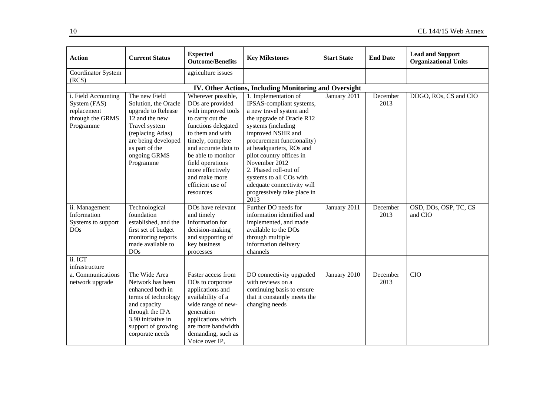| <b>Action</b>                                                                       | <b>Current Status</b>                                                                                                                                                                     | <b>Expected</b><br><b>Outcome/Benefits</b>                                                                                                                                                                                                                                               | <b>Key Milestones</b>                                                                                                                                                                                                                                                                                                                                                               | <b>Start State</b> | <b>End Date</b>  | <b>Lead and Support</b><br><b>Organizational Units</b> |
|-------------------------------------------------------------------------------------|-------------------------------------------------------------------------------------------------------------------------------------------------------------------------------------------|------------------------------------------------------------------------------------------------------------------------------------------------------------------------------------------------------------------------------------------------------------------------------------------|-------------------------------------------------------------------------------------------------------------------------------------------------------------------------------------------------------------------------------------------------------------------------------------------------------------------------------------------------------------------------------------|--------------------|------------------|--------------------------------------------------------|
| Coordinator System<br>(RCS)                                                         |                                                                                                                                                                                           | agriculture issues                                                                                                                                                                                                                                                                       |                                                                                                                                                                                                                                                                                                                                                                                     |                    |                  |                                                        |
|                                                                                     |                                                                                                                                                                                           |                                                                                                                                                                                                                                                                                          | IV. Other Actions, Including Monitoring and Oversight                                                                                                                                                                                                                                                                                                                               |                    |                  |                                                        |
| i. Field Accounting<br>System (FAS)<br>replacement<br>through the GRMS<br>Programme | The new Field<br>Solution, the Oracle<br>upgrade to Release<br>12 and the new<br>Travel system<br>(replacing Atlas)<br>are being developed<br>as part of the<br>ongoing GRMS<br>Programme | Wherever possible,<br>DOs are provided<br>with improved tools<br>to carry out the<br>functions delegated<br>to them and with<br>timely, complete<br>and accurate data to<br>be able to monitor<br>field operations<br>more effectively<br>and make more<br>efficient use of<br>resources | 1. Implementation of<br>IPSAS-compliant systems,<br>a new travel system and<br>the upgrade of Oracle R12<br>systems (including<br>improved NSHR and<br>procurement functionality)<br>at headquarters, ROs and<br>pilot country offices in<br>November 2012<br>2. Phased roll-out of<br>systems to all COs with<br>adequate connectivity will<br>progressively take place in<br>2013 | January 2011       | December<br>2013 | DDGO, ROs, CS and CIO                                  |
| ii. Management<br>Information<br>Systems to support<br><b>DOs</b>                   | Technological<br>foundation<br>established, and the<br>first set of budget<br>monitoring reports<br>made available to<br><b>DOs</b>                                                       | DOs have relevant<br>and timely<br>information for<br>decision-making<br>and supporting of<br>key business<br>processes                                                                                                                                                                  | Further DO needs for<br>information identified and<br>implemented, and made<br>available to the DOs<br>through multiple<br>information delivery<br>channels                                                                                                                                                                                                                         | January 2011       | December<br>2013 | OSD, DOs, OSP, TC, CS<br>and CIO                       |
| ii. ICT<br>infrastructure                                                           |                                                                                                                                                                                           |                                                                                                                                                                                                                                                                                          |                                                                                                                                                                                                                                                                                                                                                                                     |                    |                  |                                                        |
| a. Communications<br>network upgrade                                                | The Wide Area<br>Network has been<br>enhanced both in<br>terms of technology<br>and capacity<br>through the IPA<br>3.90 initiative in<br>support of growing<br>corporate needs            | Faster access from<br>DOs to corporate<br>applications and<br>availability of a<br>wide range of new-<br>generation<br>applications which<br>are more bandwidth<br>demanding, such as<br>Voice over IP,                                                                                  | DO connectivity upgraded<br>with reviews on a<br>continuing basis to ensure<br>that it constantly meets the<br>changing needs                                                                                                                                                                                                                                                       | January 2010       | December<br>2013 | <b>CIO</b>                                             |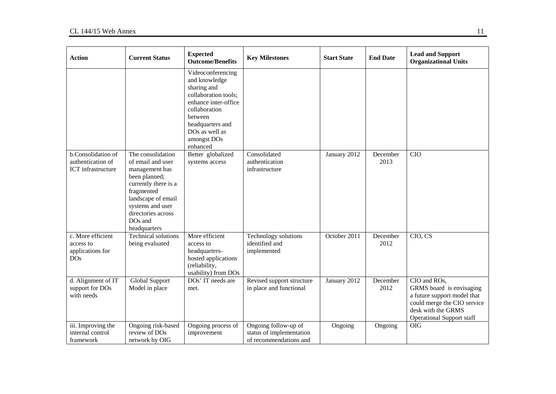| <b>Action</b>                                                    | <b>Current Status</b>                                                                                                                                                                                                  | <b>Expected</b><br><b>Outcome/Benefits</b>                                                                                                                                                     | <b>Key Milestones</b>                                                      | <b>Start State</b> | <b>End Date</b>  | <b>Lead and Support</b><br><b>Organizational Units</b>                                                                                                           |
|------------------------------------------------------------------|------------------------------------------------------------------------------------------------------------------------------------------------------------------------------------------------------------------------|------------------------------------------------------------------------------------------------------------------------------------------------------------------------------------------------|----------------------------------------------------------------------------|--------------------|------------------|------------------------------------------------------------------------------------------------------------------------------------------------------------------|
|                                                                  |                                                                                                                                                                                                                        | Videoconferencing<br>and knowledge<br>sharing and<br>collaboration tools;<br>enhance inter-office<br>collaboration<br>between<br>headquarters and<br>DOs as well as<br>amongst DOs<br>enhanced |                                                                            |                    |                  |                                                                                                                                                                  |
| b.Consolidation of<br>authentication of<br>ICT infrastructure    | The consolidation<br>of email and user<br>management has<br>been planned;<br>currently there is a<br>fragmented<br>landscape of email<br>systems and user<br>directories across<br>DO <sub>s</sub> and<br>headquarters | Better globalized<br>systems access                                                                                                                                                            | Consolidated<br>authentication<br>infrastructure                           | January 2012       | December<br>2013 | <b>CIO</b>                                                                                                                                                       |
| c. More efficient<br>access to<br>applications for<br><b>DOs</b> | <b>Technical solutions</b><br>being evaluated                                                                                                                                                                          | More efficient<br>access to<br>headquarters-<br>hosted applications<br>(reliability,<br>usability) from DOs                                                                                    | <b>Technology</b> solutions<br>identified and<br>implemented               | October 2011       | December<br>2012 | CIO, CS                                                                                                                                                          |
| d. Alignment of IT<br>support for DOs<br>with needs              | Global Support<br>Model in place                                                                                                                                                                                       | DOs' IT needs are<br>met.                                                                                                                                                                      | Revised support structure<br>in place and functional                       | January 2012       | December<br>2012 | CIO and ROs,<br>GRMS board is envisaging<br>a future support model that<br>could merge the CIO service<br>desk with the GRMS<br><b>Operational Support staff</b> |
| iii. Improving the<br>internal control<br>framework              | Ongoing risk-based<br>review of DOs<br>network by OIG                                                                                                                                                                  | Ongoing process of<br>improvement                                                                                                                                                              | Ongoing follow-up of<br>status of implementation<br>of recommendations and | Ongoing            | Ongoing          | <b>OIG</b>                                                                                                                                                       |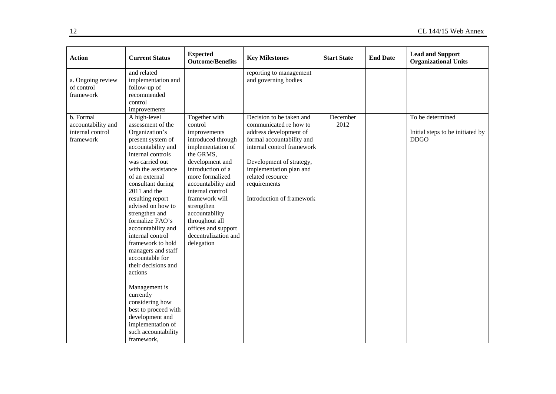| <b>Action</b>                                                    | <b>Current Status</b>                                                                                                                                                                                                                                                                                                                                                                                                                                                                                                                                                                              | <b>Expected</b><br><b>Outcome/Benefits</b>                                                                                                                                                                                                                                                                                             | <b>Key Milestones</b>                                                                                                                                                                                                                                           | <b>Start State</b> | <b>End Date</b> | <b>Lead and Support</b><br><b>Organizational Units</b>              |
|------------------------------------------------------------------|----------------------------------------------------------------------------------------------------------------------------------------------------------------------------------------------------------------------------------------------------------------------------------------------------------------------------------------------------------------------------------------------------------------------------------------------------------------------------------------------------------------------------------------------------------------------------------------------------|----------------------------------------------------------------------------------------------------------------------------------------------------------------------------------------------------------------------------------------------------------------------------------------------------------------------------------------|-----------------------------------------------------------------------------------------------------------------------------------------------------------------------------------------------------------------------------------------------------------------|--------------------|-----------------|---------------------------------------------------------------------|
| a. Ongoing review<br>of control<br>framework                     | and related<br>implementation and<br>follow-up of<br>recommended<br>control<br>improvements                                                                                                                                                                                                                                                                                                                                                                                                                                                                                                        |                                                                                                                                                                                                                                                                                                                                        | reporting to management<br>and governing bodies                                                                                                                                                                                                                 |                    |                 |                                                                     |
| b. Formal<br>accountability and<br>internal control<br>framework | A high-level<br>assessment of the<br>Organization's<br>present system of<br>accountability and<br>internal controls<br>was carried out<br>with the assistance<br>of an external<br>consultant during<br>2011 and the<br>resulting report<br>advised on how to<br>strengthen and<br>formalize FAO's<br>accountability and<br>internal control<br>framework to hold<br>managers and staff<br>accountable for<br>their decisions and<br>actions<br>Management is<br>currently<br>considering how<br>best to proceed with<br>development and<br>implementation of<br>such accountability<br>framework, | Together with<br>control<br>improvements<br>introduced through<br>implementation of<br>the GRMS,<br>development and<br>introduction of a<br>more formalized<br>accountability and<br>internal control<br>framework will<br>strengthen<br>accountability<br>throughout all<br>offices and support<br>decentralization and<br>delegation | Decision to be taken and<br>communicated re how to<br>address development of<br>formal accountability and<br>internal control framework<br>Development of strategy,<br>implementation plan and<br>related resource<br>requirements<br>Introduction of framework | December<br>2012   |                 | To be determined<br>Initial steps to be initiated by<br><b>DDGO</b> |